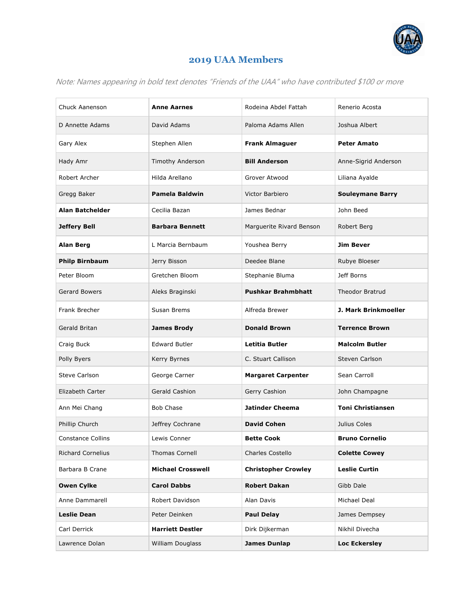

## **2019 UAA Members**

Note: Names appearing in bold text denotes "Friends of the UAA" who have contributed \$100 or more

| Chuck Aanenson           | <b>Anne Aarnes</b>       | Rodeina Abdel Fattah       | Renerio Acosta              |
|--------------------------|--------------------------|----------------------------|-----------------------------|
| D Annette Adams          | David Adams              | Paloma Adams Allen         | Joshua Albert               |
| Gary Alex                | Stephen Allen            | <b>Frank Almaguer</b>      | <b>Peter Amato</b>          |
| Hady Amr                 | Timothy Anderson         | <b>Bill Anderson</b>       | Anne-Sigrid Anderson        |
| Robert Archer            | Hilda Arellano           | Grover Atwood              | Liliana Ayalde              |
| Gregg Baker              | <b>Pamela Baldwin</b>    | Victor Barbiero            | <b>Souleymane Barry</b>     |
| Alan Batchelder          | Cecilia Bazan            | James Bednar               | John Beed                   |
| <b>Jeffery Bell</b>      | <b>Barbara Bennett</b>   | Marguerite Rivard Benson   | Robert Berg                 |
| <b>Alan Berg</b>         | L Marcia Bernbaum        | Youshea Berry              | <b>Jim Bever</b>            |
| <b>Philp Birnbaum</b>    | Jerry Bisson             | Deedee Blane               | Rubye Bloeser               |
| Peter Bloom              | Gretchen Bloom           | Stephanie Bluma            | Jeff Borns                  |
| <b>Gerard Bowers</b>     | Aleks Braginski          | <b>Pushkar Brahmbhatt</b>  | <b>Theodor Bratrud</b>      |
| Frank Brecher            | Susan Brems              | Alfreda Brewer             | <b>J. Mark Brinkmoeller</b> |
| Gerald Britan            | <b>James Brody</b>       | <b>Donald Brown</b>        | <b>Terrence Brown</b>       |
| Craig Buck               | <b>Edward Butler</b>     | <b>Letitia Butler</b>      | <b>Malcolm Butler</b>       |
| Polly Byers              | Kerry Byrnes             | C. Stuart Callison         | Steven Carlson              |
| <b>Steve Carlson</b>     | George Carner            | <b>Margaret Carpenter</b>  | Sean Carroll                |
| Elizabeth Carter         | <b>Gerald Cashion</b>    | Gerry Cashion              | John Champagne              |
| Ann Mei Chang            | <b>Bob Chase</b>         | <b>Jatinder Cheema</b>     | <b>Toni Christiansen</b>    |
| Phillip Church           | Jeffrey Cochrane         | <b>David Cohen</b>         | Julius Coles                |
| <b>Constance Collins</b> | Lewis Conner             | <b>Bette Cook</b>          | <b>Bruno Cornelio</b>       |
| <b>Richard Cornelius</b> | <b>Thomas Cornell</b>    | Charles Costello           | <b>Colette Cowey</b>        |
| Barbara B Crane          | <b>Michael Crosswell</b> | <b>Christopher Crowley</b> | <b>Leslie Curtin</b>        |
| <b>Owen Cylke</b>        | <b>Carol Dabbs</b>       | <b>Robert Dakan</b>        | Gibb Dale                   |
| Anne Dammarell           | Robert Davidson          | Alan Davis                 | Michael Deal                |
| <b>Leslie Dean</b>       | Peter Deinken            | <b>Paul Delay</b>          | James Dempsey               |
| Carl Derrick             | <b>Harriett Destler</b>  | Dirk Dijkerman             | Nikhil Divecha              |
| Lawrence Dolan           | William Douglass         | <b>James Dunlap</b>        | <b>Loc Eckersley</b>        |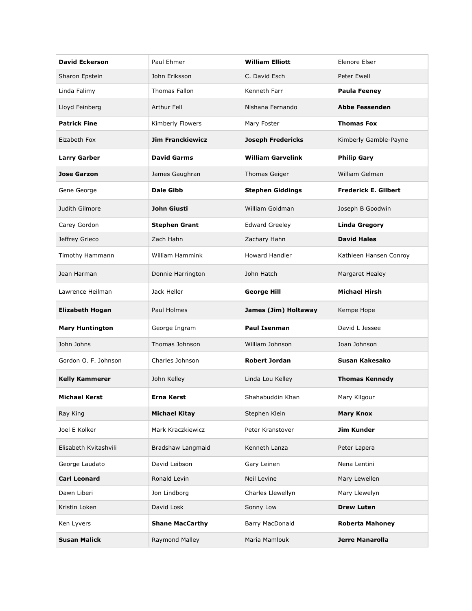| <b>David Eckerson</b>  | Paul Ehmer              | <b>William Elliott</b>   | Elenore Elser               |
|------------------------|-------------------------|--------------------------|-----------------------------|
| Sharon Epstein         | John Eriksson           | C. David Esch            | <b>Peter Ewell</b>          |
| Linda Falimy           | Thomas Fallon           | Kenneth Farr             | <b>Paula Feeney</b>         |
| Lloyd Feinberg         | Arthur Fell             | Nishana Fernando         | <b>Abbe Fessenden</b>       |
| <b>Patrick Fine</b>    | Kimberly Flowers        | Mary Foster              | <b>Thomas Fox</b>           |
| Eizabeth Fox           | <b>Jim Franckiewicz</b> | <b>Joseph Fredericks</b> | Kimberly Gamble-Payne       |
| <b>Larry Garber</b>    | <b>David Garms</b>      | <b>William Garvelink</b> | <b>Philip Gary</b>          |
| <b>Jose Garzon</b>     | James Gaughran          | Thomas Geiger            | William Gelman              |
| Gene George            | <b>Dale Gibb</b>        | <b>Stephen Giddings</b>  | <b>Frederick E. Gilbert</b> |
| Judith Gilmore         | <b>John Giusti</b>      | William Goldman          | Joseph B Goodwin            |
| Carey Gordon           | <b>Stephen Grant</b>    | <b>Edward Greeley</b>    | <b>Linda Gregory</b>        |
| Jeffrey Grieco         | Zach Hahn               | Zachary Hahn             | <b>David Hales</b>          |
| Timothy Hammann        | <b>William Hammink</b>  | <b>Howard Handler</b>    | Kathleen Hansen Conroy      |
| Jean Harman            | Donnie Harrington       | John Hatch               | Margaret Healey             |
| Lawrence Heilman       | Jack Heller             | <b>George Hill</b>       | <b>Michael Hirsh</b>        |
| <b>Elizabeth Hogan</b> | Paul Holmes             | James (Jim) Holtaway     | Kempe Hope                  |
| <b>Mary Huntington</b> | George Ingram           | <b>Paul Isenman</b>      | David L Jessee              |
| John Johns             | Thomas Johnson          | William Johnson          | Joan Johnson                |
| Gordon O. F. Johnson   | Charles Johnson         | <b>Robert Jordan</b>     | Susan Kakesako              |
| <b>Kelly Kammerer</b>  | John Kelley             | Linda Lou Kelley         | <b>Thomas Kennedy</b>       |
| <b>Michael Kerst</b>   | <b>Erna Kerst</b>       | Shahabuddin Khan         | Mary Kilgour                |
| Ray King               | <b>Michael Kitay</b>    | Stephen Klein            | <b>Mary Knox</b>            |
| Joel E Kolker          | Mark Kraczkiewicz       | Peter Kranstover         | Jim Kunder                  |
| Elisabeth Kvitashvili  | Bradshaw Langmaid       | Kenneth Lanza            | Peter Lapera                |
| George Laudato         | David Leibson           | Gary Leinen              | Nena Lentini                |
| <b>Carl Leonard</b>    | Ronald Levin            | Neil Levine              | Mary Lewellen               |
| Dawn Liberi            | Jon Lindborg            | Charles Llewellyn        | Mary Llewelyn               |
| Kristin Loken          | David Losk              | Sonny Low                | <b>Drew Luten</b>           |
| Ken Lyvers             | <b>Shane MacCarthy</b>  | Barry MacDonald          | <b>Roberta Mahoney</b>      |
| <b>Susan Malick</b>    | Raymond Malley          | María Mamlouk            | <b>Jerre Manarolla</b>      |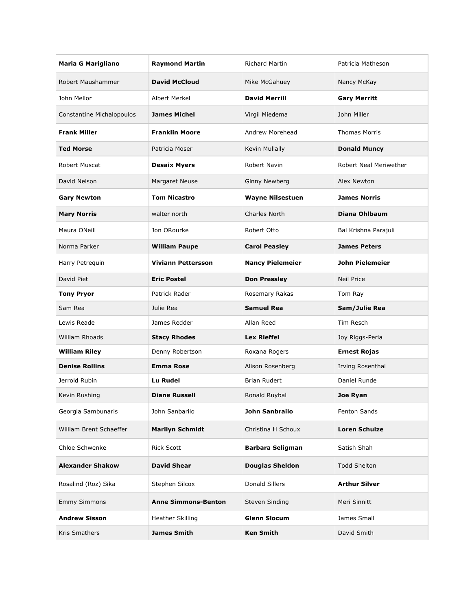| <b>Maria G Marigliano</b> | <b>Raymond Martin</b>      | <b>Richard Martin</b>   | Patricia Matheson      |
|---------------------------|----------------------------|-------------------------|------------------------|
| Robert Maushammer         | <b>David McCloud</b>       | Mike McGahuey           | Nancy McKay            |
| John Mellor               | Albert Merkel              | <b>David Merrill</b>    | <b>Gary Merritt</b>    |
| Constantine Michalopoulos | <b>James Michel</b>        | Virgil Miedema          | John Miller            |
| <b>Frank Miller</b>       | <b>Franklin Moore</b>      | Andrew Morehead         | <b>Thomas Morris</b>   |
| <b>Ted Morse</b>          | Patricia Moser             | Kevin Mullally          | <b>Donald Muncy</b>    |
| Robert Muscat             | <b>Desaix Myers</b>        | Robert Navin            | Robert Neal Meriwether |
| David Nelson              | Margaret Neuse             | <b>Ginny Newberg</b>    | Alex Newton            |
| <b>Gary Newton</b>        | <b>Tom Nicastro</b>        | <b>Wayne Nilsestuen</b> | <b>James Norris</b>    |
| <b>Mary Norris</b>        | walter north               | Charles North           | Diana Ohlbaum          |
| Maura ONeill              | Jon ORourke                | Robert Otto             | Bal Krishna Parajuli   |
| Norma Parker              | <b>William Paupe</b>       | <b>Carol Peasley</b>    | <b>James Peters</b>    |
| Harry Petrequin           | <b>Viviann Pettersson</b>  | <b>Nancy Pielemeier</b> | <b>John Pielemeier</b> |
| David Piet                | <b>Eric Postel</b>         | <b>Don Pressley</b>     | <b>Neil Price</b>      |
| <b>Tony Pryor</b>         | Patrick Rader              | Rosemary Rakas          | Tom Ray                |
| Sam Rea                   | Julie Rea                  | <b>Samuel Rea</b>       | Sam/Julie Rea          |
| Lewis Reade               | James Redder               | Allan Reed              | Tim Resch              |
| William Rhoads            | <b>Stacy Rhodes</b>        | <b>Lex Rieffel</b>      | Joy Riggs-Perla        |
| <b>William Riley</b>      | Denny Robertson            | Roxana Rogers           | <b>Ernest Rojas</b>    |
| <b>Denise Rollins</b>     | <b>Emma Rose</b>           | Alison Rosenberg        | Irving Rosenthal       |
| Jerrold Rubin             | Lu Rudel                   | <b>Brian Rudert</b>     | Daniel Runde           |
| Kevin Rushing             | <b>Diane Russell</b>       | Ronald Ruybal           | <b>Joe Ryan</b>        |
| Georgia Sambunaris        | John Sanbarilo             | John Sanbrailo          | Fenton Sands           |
| William Brent Schaeffer   | <b>Marilyn Schmidt</b>     | Christina H Schoux      | <b>Loren Schulze</b>   |
| Chloe Schwenke            | <b>Rick Scott</b>          | <b>Barbara Seligman</b> | Satish Shah            |
| <b>Alexander Shakow</b>   | <b>David Shear</b>         | <b>Douglas Sheldon</b>  | <b>Todd Shelton</b>    |
| Rosalind (Roz) Sika       | Stephen Silcox             | <b>Donald Sillers</b>   | <b>Arthur Silver</b>   |
| <b>Emmy Simmons</b>       | <b>Anne Simmons-Benton</b> | Steven Sinding          | Meri Sinnitt           |
| <b>Andrew Sisson</b>      | Heather Skilling           | <b>Glenn Slocum</b>     | James Small            |
| Kris Smathers             | <b>James Smith</b>         | <b>Ken Smith</b>        | David Smith            |